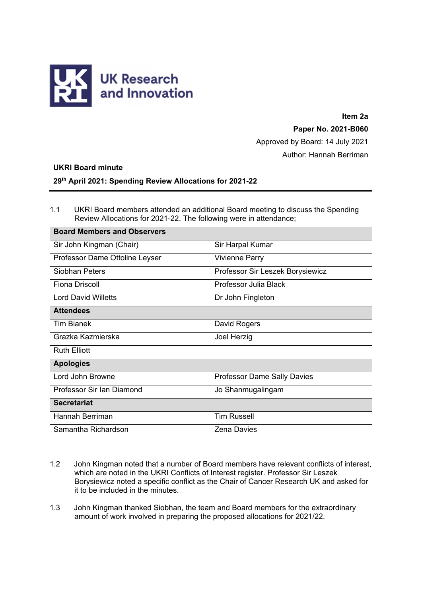

**Item 2a** 

**Paper No. 2021-B060** 

Approved by Board: 14 July 2021

Author: Hannah Berriman

## **UKRI Board minute**

## **29th April 2021: Spending Review Allocations for 2021-22**

1.1 UKRI Board members attended an additional Board meeting to discuss the Spending Review Allocations for 2021-22. The following were in attendance;

| <b>Board Members and Observers</b> |                                    |
|------------------------------------|------------------------------------|
| Sir John Kingman (Chair)           | Sir Harpal Kumar                   |
| Professor Dame Ottoline Leyser     | <b>Vivienne Parry</b>              |
| Siobhan Peters                     | Professor Sir Leszek Borysiewicz   |
| <b>Fiona Driscoll</b>              | Professor Julia Black              |
| <b>Lord David Willetts</b>         | Dr John Fingleton                  |
| <b>Attendees</b>                   |                                    |
| <b>Tim Bianek</b>                  | David Rogers                       |
| Grazka Kazmierska                  | Joel Herzig                        |
| <b>Ruth Elliott</b>                |                                    |
| <b>Apologies</b>                   |                                    |
| Lord John Browne                   | <b>Professor Dame Sally Davies</b> |
| Professor Sir Ian Diamond          | Jo Shanmugalingam                  |
| <b>Secretariat</b>                 |                                    |
| Hannah Berriman                    | <b>Tim Russell</b>                 |
| Samantha Richardson                | <b>Zena Davies</b>                 |

- 1.2 John Kingman noted that a number of Board members have relevant conflicts of interest, which are noted in the UKRI Conflicts of Interest register. Professor Sir Leszek Borysiewicz noted a specific conflict as the Chair of Cancer Research UK and asked for it to be included in the minutes.
- 1.3 John Kingman thanked Siobhan, the team and Board members for the extraordinary amount of work involved in preparing the proposed allocations for 2021/22.